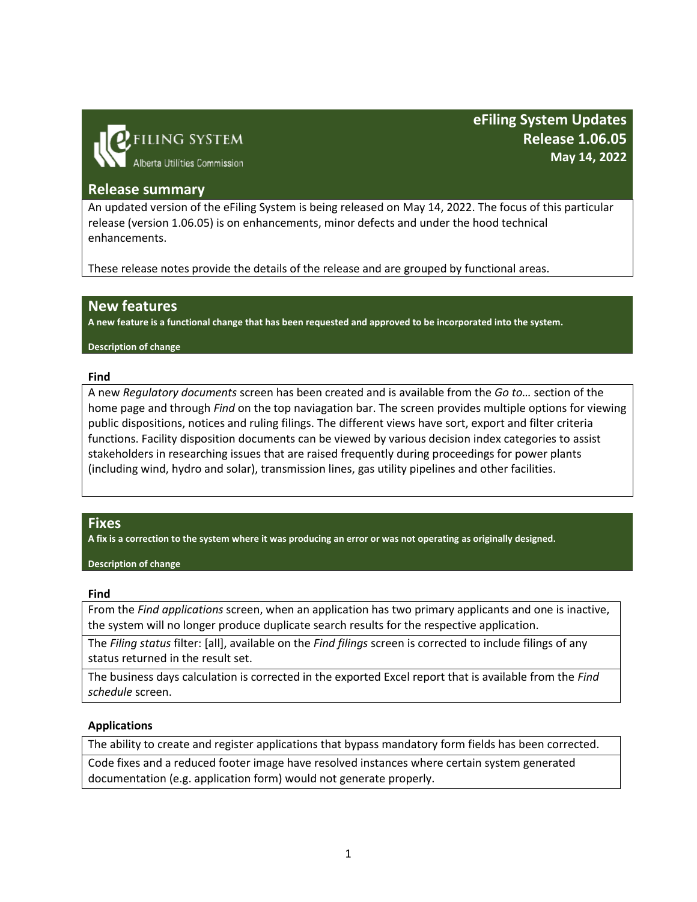

**eFiling System Updates Release 1.06.05 May 14, 2022**

## **Release summary**

An updated version of the eFiling System is being released on May 14, 2022. The focus of this particular release (version 1.06.05) is on enhancements, minor defects and under the hood technical enhancements.

These release notes provide the details of the release and are grouped by functional areas.

## **New features**

**A new feature is a functional change that has been requested and approved to be incorporated into the system.**

#### **Description of change**

### **Find**

A new *Regulatory documents* screen has been created and is available from the *Go to…* section of the home page and through *Find* on the top naviagation bar. The screen provides multiple options for viewing public dispositions, notices and ruling filings. The different views have sort, export and filter criteria functions. Facility disposition documents can be viewed by various decision index categories to assist stakeholders in researching issues that are raised frequently during proceedings for power plants (including wind, hydro and solar), transmission lines, gas utility pipelines and other facilities.

### **Fixes**

**A fix is a correction to the system where it was producing an error or was not operating as originally designed.**

**Description of change**

#### **Find**

From the *Find applications* screen, when an application has two primary applicants and one is inactive, the system will no longer produce duplicate search results for the respective application.

The *Filing status* filter: [all], available on the *Find filings* screen is corrected to include filings of any status returned in the result set.

The business days calculation is corrected in the exported Excel report that is available from the *Find schedule* screen.

### **Applications**

The ability to create and register applications that bypass mandatory form fields has been corrected.

Code fixes and a reduced footer image have resolved instances where certain system generated documentation (e.g. application form) would not generate properly.